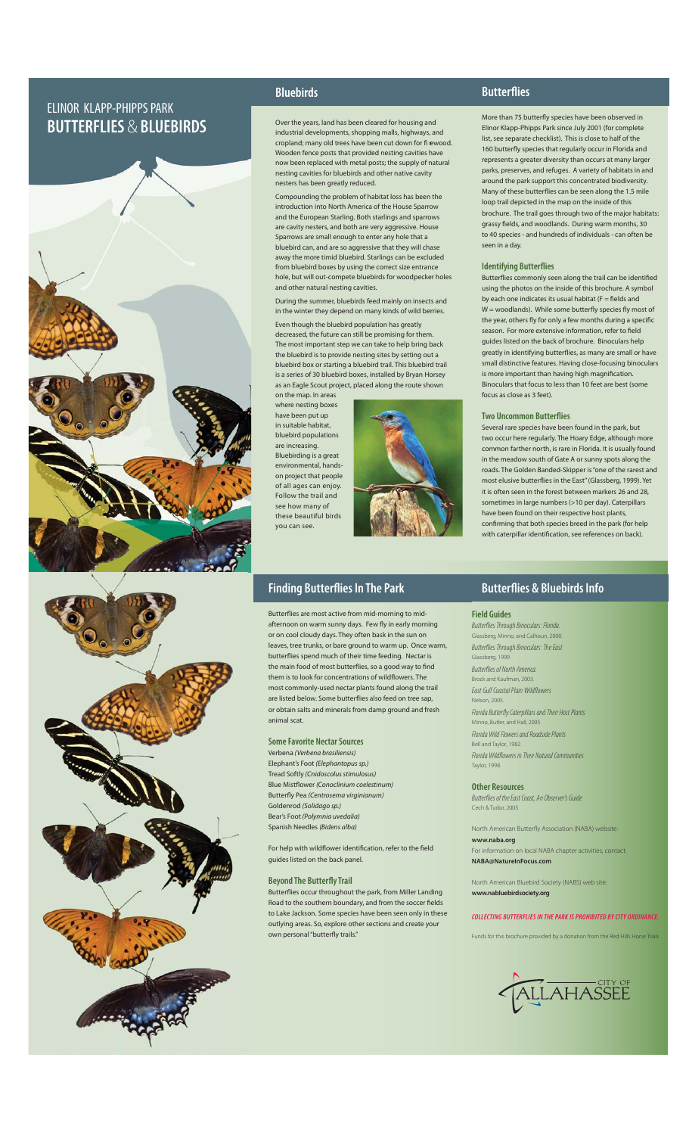# ELINOR KLAPP-PHIPPS PARK **BUTTERFLIES** & **BLUEBIRDS**





## **Bluebirds**

Over the years, land has been cleared for housing and industrial developments, shopping malls, highways, and cropland; many old trees have been cut down for fi rewood. Wooden fence posts that provided nesting cavities have now been replaced with metal posts; the supply of natural nesting cavities for bluebirds and other native cavity nesters has been greatly reduced.

Compounding the problem of habitat loss has been the introduction into North America of the House Sparrow and the European Starling. Both starlings and sparrows are cavity nesters, and both are very aggressive. House Sparrows are small enough to enter any hole that a bluebird can, and are so aggressive that they will chase away the more timid bluebird. Starlings can be excluded from bluebird boxes by using the correct size entrance hole, but will out-compete bluebirds for woodpecker holes and other natural nesting cavities.

During the summer, bluebirds feed mainly on insects and in the winter they depend on many kinds of wild berries.

Even though the bluebird population has greatly decreased, the future can still be promising for them. The most important step we can take to help bring back the bluebird is to provide nesting sites by setting out a bluebird box or starting a bluebird trail. This bluebird trail is a series of 30 bluebird boxes, installed by Bryan Horsey as an Eagle Scout project, placed along the route shown

on the map. In areas where nesting boxes have been put up in suitable habitat, bluebird populations are increasing. Bluebirding is a great environmental, handson project that people of all ages can enjoy. Follow the trail and see how many of these beautiful birds you can see.



### **Finding Butterflies In The Park**

Butterflies are most active from mid-morning to midafternoon on warm sunny days. Few fly in early morning or on cool cloudy days. They often bask in the sun on leaves, tree trunks, or bare ground to warm up. Once warm, butterflies spend much of their time feeding. Nectar is the main food of most butterflies, so a good way to find them is to look for concentrations of wildflowers. The most commonly-used nectar plants found along the trail are listed below. Some butterflies also feed on tree sap, or obtain salts and minerals from damp ground and fresh animal scat.

### **Some Favorite Nectar Sources**

Verbena *(Verbena brasiliensis)*  Elephant's Foot *(Elephantopus sp.)*  Tread Softly *(Cnidoscolus stimulosus)* Blue Mistfl ower *(Conoclinium coelestinum)* Butterfly Pea *(Centrosema virginianum)* Goldenrod *(Solidago sp.)* Bear's Foot *(Polymnia uvedalia)* Spanish Needles *(Bidens alba)*

For help with wildflower identification, refer to the field guides listed on the back panel.

#### **Beyond The Butterfly Trail**

Butterflies occur throughout the park, from Miller Landing Road to the southern boundary, and from the soccer fields to Lake Jackson. Some species have been seen only in these outlying areas. So, explore other sections and create your own personal "butterfly trails."

### **Butterflies**

More than 75 butterfly species have been observed in Elinor Klapp-Phipps Park since July 2001 (for complete list, see separate checklist). This is close to half of the 160 butterfly species that regularly occur in Florida and represents a greater diversity than occurs at many larger parks, preserves, and refuges. A variety of habitats in and around the park support this concentrated biodiversity. Many of these butterflies can be seen along the 1.5 mile loop trail depicted in the map on the inside of this brochure. The trail goes through two of the major habitats: grassy fields, and woodlands. During warm months, 30 to 40 species - and hundreds of individuals - can often be seen in a day.

#### **Identifying Butterflies**

Butterflies commonly seen along the trail can be identified using the photos on the inside of this brochure. A symbol by each one indicates its usual habitat  $(F = \text{fields} \text{ and }$  $W =$  woodlands). While some butterfly species fly most of the year, others fly for only a few months during a specific season. For more extensive information, refer to field guides listed on the back of brochure. Binoculars help greatly in identifying butterflies, as many are small or have small distinctive features. Having close-focusing binoculars is more important than having high magnification Binoculars that focus to less than 10 feet are best (some focus as close as 3 feet).

#### **Two Uncommon Butterflies**

Several rare species have been found in the park, but two occur here regularly. The Hoary Edge, although more common farther north, is rare in Florida. It is usually found in the meadow south of Gate A or sunny spots along the roads. The Golden Banded-Skipper is "one of the rarest and most elusive butterflies in the East" (Glassberg, 1999). Yet it is often seen in the forest between markers 26 and 28, sometimes in large numbers (>10 per day). Caterpillars have been found on their respective host plants, confirming that both species breed in the park (for help with caterpillar identification, see references on back).

# **Butterflies & Bluebirds Info**

#### **Field Guides**

Butterflies Through Binoculars: Florida. Glassberg, Minno, and Calhoun, 2000. Butterflies Through Binoculars: The East Glassberg, 1999. Butterflies of North America.

Brock and Kaufman, 2003. East Gulf Coastal Plain Wildflowers

n, 2005 Florida Butterfly Caterpillars and Their Host Plants Minno, Butler, and Hall, 2005. Florida Wild Flowers and Roadside Plants Bell and Taylor, 1982. Florida Wildflowers in Their Natural Communities Taylor, 1998.

### **Other Resources**

flies of the East Coast, An Observer's Guide Cech & Tudor, 200

North American Butterfly Association (NABA) website **www.naba.org** n on local NABA chapter activities, contact:

**NABA@NatureInFocus.com**

North American Bluebird Society (NABS) web site: **www.nabluebirdsociety.org**

#### *COLLECTING BUTTERFLIES IN THE PARK IS PROHIBITED BY CITY ORDINANCE.*

Funds for this brochure provided by a donation from the Red Hills Horse Trial